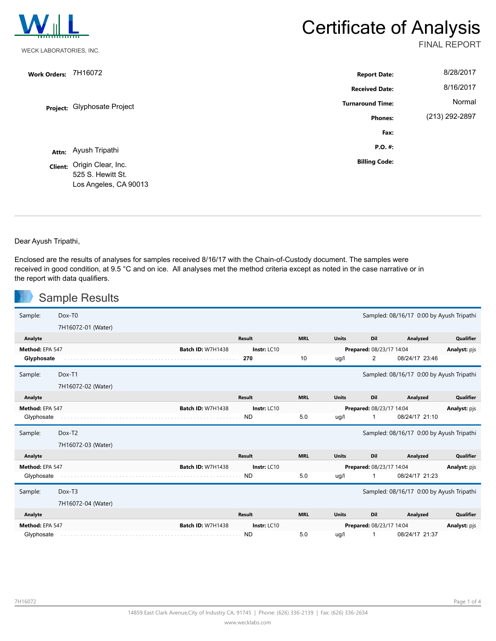

# **Certificate of Analysis**

FINAL REPORT

| <b>Work Orders:</b> | 7H16072                                                                  | <b>Report Date:</b>     | 8/28/2017      |
|---------------------|--------------------------------------------------------------------------|-------------------------|----------------|
|                     |                                                                          | <b>Received Date:</b>   | 8/16/2017      |
|                     | Project: Glyphosate Project                                              | <b>Turnaround Time:</b> | Normal         |
|                     |                                                                          | <b>Phones:</b>          | (213) 292-2897 |
|                     |                                                                          | Fax:                    |                |
|                     | Attn: Ayush Tripathi                                                     | P.O. #:                 |                |
|                     | Client: Origin Clear, Inc.<br>525 S. Hewitt St.<br>Los Angeles, CA 90013 | <b>Billing Code:</b>    |                |

Dear Ayush Tripathi,

u.

Enclosed are the results of analyses for samples received 8/16/17 with the Chain-of-Custody document. The samples were received in good condition, at 9.5 °C and on ice. All analyses met the method criteria except as noted in the case narrative or in the report with data qualifiers.

|                 | <b>Sample Results</b> |                          |               |            |              |                          |                                          |                  |
|-----------------|-----------------------|--------------------------|---------------|------------|--------------|--------------------------|------------------------------------------|------------------|
| Sample:         | Dox-T <sub>0</sub>    |                          |               |            |              |                          | Sampled: 08/16/17 0:00 by Ayush Tripathi |                  |
|                 | 7H16072-01 (Water)    |                          |               |            |              |                          |                                          |                  |
| Analyte         |                       |                          | Result        | <b>MRL</b> | <b>Units</b> | Dil                      | Analyzed                                 | <b>Qualifier</b> |
| Method: EPA 547 |                       | <b>Batch ID: W7H1438</b> | Instr: LC10   |            |              | Prepared: 08/23/17 14:04 |                                          | Analyst: pjs     |
| Glyphosate      |                       |                          | 270           | 10         | ug/l         | 2                        | 08/24/17 23:46                           |                  |
| Sample:         | Dox-T1                |                          |               |            |              |                          | Sampled: 08/16/17 0:00 by Ayush Tripathi |                  |
|                 | 7H16072-02 (Water)    |                          |               |            |              |                          |                                          |                  |
| Analyte         |                       |                          | Result        | <b>MRL</b> | <b>Units</b> | Dil                      | Analyzed                                 | Qualifier        |
| Method: EPA 547 |                       | <b>Batch ID: W7H1438</b> | Instr: $LC10$ |            |              | Prepared: 08/23/17 14:04 |                                          | Analyst: pjs     |
| Glyphosate      |                       |                          | <b>ND</b>     | 5.0        | ug/l         | 1                        | 08/24/17 21:10                           |                  |
| Sample:         | Dox-T2                |                          |               |            |              |                          |                                          |                  |
|                 |                       |                          |               |            |              |                          | Sampled: 08/16/17 0:00 by Ayush Tripathi |                  |
|                 | 7H16072-03 (Water)    |                          |               |            |              |                          |                                          |                  |
| Analyte         |                       |                          | <b>Result</b> | <b>MRL</b> | <b>Units</b> | Dil                      | Analyzed                                 | <b>Qualifier</b> |
| Method: EPA 547 |                       | <b>Batch ID: W7H1438</b> | Instr: $LC10$ |            |              | Prepared: 08/23/17 14:04 |                                          | Analyst: pjs     |
| Glyphosate      |                       |                          | <b>ND</b>     | 5.0        | ug/l         | 1                        | 08/24/17 21:23                           |                  |
| Sample:         | Dox-T3                |                          |               |            |              |                          | Sampled: 08/16/17 0:00 by Ayush Tripathi |                  |
|                 | 7H16072-04 (Water)    |                          |               |            |              |                          |                                          |                  |
| Analyte         |                       |                          | <b>Result</b> | <b>MRL</b> | <b>Units</b> | Dil                      | Analyzed                                 | Qualifier        |
| Method: EPA 547 |                       | <b>Batch ID: W7H1438</b> | Instr: LC10   |            |              | Prepared: 08/23/17 14:04 |                                          | Analyst: pjs     |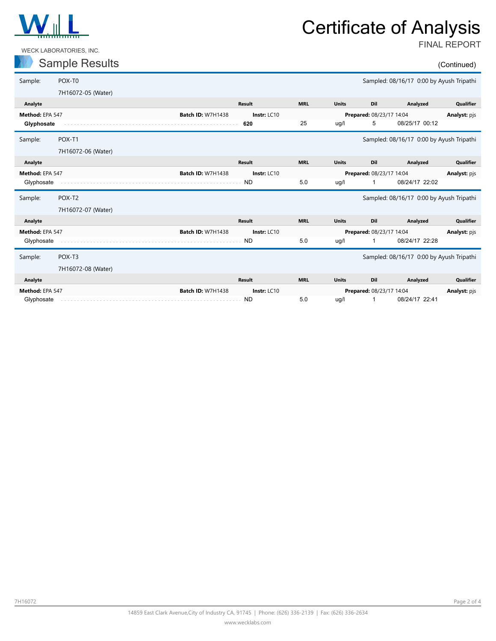

WECK LABORATORIES, INC.

## Certificate of Analysis

FINAL REPORT

#### Sample Results (Continued)

| Sample:         | POX-TO             |                          |             |              |                          | Sampled: 08/16/17 0:00 by Ayush Tripathi |              |
|-----------------|--------------------|--------------------------|-------------|--------------|--------------------------|------------------------------------------|--------------|
|                 | 7H16072-05 (Water) |                          |             |              |                          |                                          |              |
| Analyte         |                    | <b>Result</b>            | <b>MRL</b>  | <b>Units</b> | Dil                      | Analyzed                                 | Qualifier    |
| Method: EPA 547 |                    | <b>Batch ID: W7H1438</b> | Instr: LC10 |              | Prepared: 08/23/17 14:04 |                                          | Analyst: pjs |
| Glyphosate      |                    | 620                      | 25          | ug/l         | 5                        | 08/25/17 00:12                           |              |
| Sample:         | POX-T1             |                          |             |              |                          | Sampled: 08/16/17 0:00 by Ayush Tripathi |              |
|                 | 7H16072-06 (Water) |                          |             |              |                          |                                          |              |
| Analyte         |                    | <b>Result</b>            | <b>MRL</b>  | <b>Units</b> | Dil                      | Analyzed                                 | Qualifier    |
| Method: EPA 547 |                    | <b>Batch ID: W7H1438</b> | Instr: LC10 |              | Prepared: 08/23/17 14:04 |                                          | Analyst: pjs |
| Glyphosate      |                    | <b>ND</b>                | 5.0         | ug/l         |                          | 08/24/17 22:02                           |              |
|                 |                    |                          |             |              |                          |                                          |              |
| Sample:         | POX-T2             |                          |             |              |                          | Sampled: 08/16/17 0:00 by Ayush Tripathi |              |
|                 | 7H16072-07 (Water) |                          |             |              |                          |                                          |              |
| Analyte         |                    | <b>Result</b>            | <b>MRL</b>  | <b>Units</b> | Dil                      | Analyzed                                 | Qualifier    |
| Method: EPA 547 |                    | <b>Batch ID: W7H1438</b> | Instr: LC10 |              | Prepared: 08/23/17 14:04 |                                          | Analyst: pjs |
| Glyphosate      |                    | <b>ND</b>                | 5.0         | ug/l         | 1                        | 08/24/17 22:28                           |              |
| Sample:         | POX-T <sub>3</sub> |                          |             |              |                          | Sampled: 08/16/17 0:00 by Ayush Tripathi |              |
|                 | 7H16072-08 (Water) |                          |             |              |                          |                                          |              |
| Analyte         |                    | <b>Result</b>            | <b>MRL</b>  | <b>Units</b> | Dil                      | Analyzed                                 | Qualifier    |
| Method: EPA 547 |                    | <b>Batch ID: W7H1438</b> | Instr: LC10 |              | Prepared: 08/23/17 14:04 |                                          | Analyst: pjs |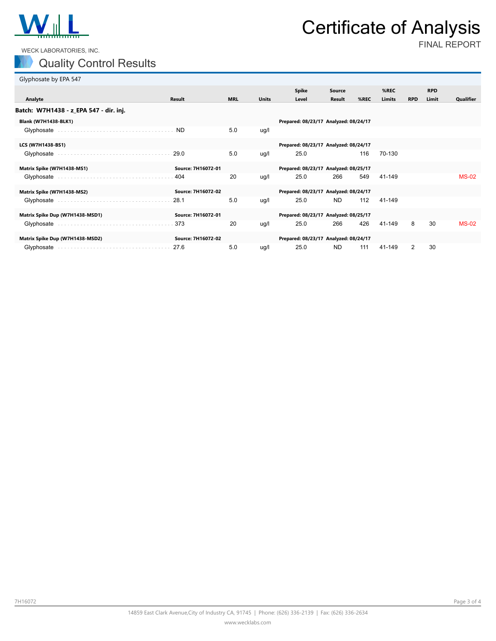

## Certificate of Analysis

WECK LABORATORIES, INC.

### Quality Control Results

FINAL REPORT

| Glyphosate by EPA 547                  |                    |            |              |                                       |               |      |               |            |            |              |
|----------------------------------------|--------------------|------------|--------------|---------------------------------------|---------------|------|---------------|------------|------------|--------------|
|                                        |                    |            |              | <b>Spike</b>                          | Source        |      | %REC          |            | <b>RPD</b> |              |
| Analyte                                | <b>Result</b>      | <b>MRL</b> | <b>Units</b> | Level                                 | <b>Result</b> | %REC | <b>Limits</b> | <b>RPD</b> | Limit      | Qualifier    |
| Batch: W7H1438 - z_EPA 547 - dir. inj. |                    |            |              |                                       |               |      |               |            |            |              |
| <b>Blank (W7H1438-BLK1)</b>            |                    |            |              | Prepared: 08/23/17 Analyzed: 08/24/17 |               |      |               |            |            |              |
| Glyphosate                             | ND.                | 5.0        | ug/l         |                                       |               |      |               |            |            |              |
| LCS (W7H1438-BS1)                      |                    |            |              | Prepared: 08/23/17 Analyzed: 08/24/17 |               |      |               |            |            |              |
| Glyphosate                             | $-29.0$            | 5.0        | ug/l         | 25.0                                  |               | 116  | 70-130        |            |            |              |
| Matrix Spike (W7H1438-MS1)             | Source: 7H16072-01 |            |              | Prepared: 08/23/17 Analyzed: 08/25/17 |               |      |               |            |            |              |
| Glyphosate                             | 404                | 20         | ug/l         | 25.0                                  | 266           | 549  | 41-149        |            |            | <b>MS-02</b> |
| Matrix Spike (W7H1438-MS2)             | Source: 7H16072-02 |            |              | Prepared: 08/23/17 Analyzed: 08/24/17 |               |      |               |            |            |              |
| Glyphosate                             | 28.1               | 5.0        | ug/l         | 25.0                                  | <b>ND</b>     | 112  | 41-149        |            |            |              |
| Matrix Spike Dup (W7H1438-MSD1)        | Source: 7H16072-01 |            |              | Prepared: 08/23/17 Analyzed: 08/25/17 |               |      |               |            |            |              |
| Glyphosate                             | 373                | 20         | ug/l         | 25.0                                  | 266           | 426  | 41-149        | 8          | 30         | <b>MS-02</b> |
| Matrix Spike Dup (W7H1438-MSD2)        | Source: 7H16072-02 |            |              | Prepared: 08/23/17 Analyzed: 08/24/17 |               |      |               |            |            |              |
| Glyphosate                             | 27.6               | 5.0        | ug/l         | 25.0                                  | <b>ND</b>     | 111  | 41-149        | 2          | 30         |              |